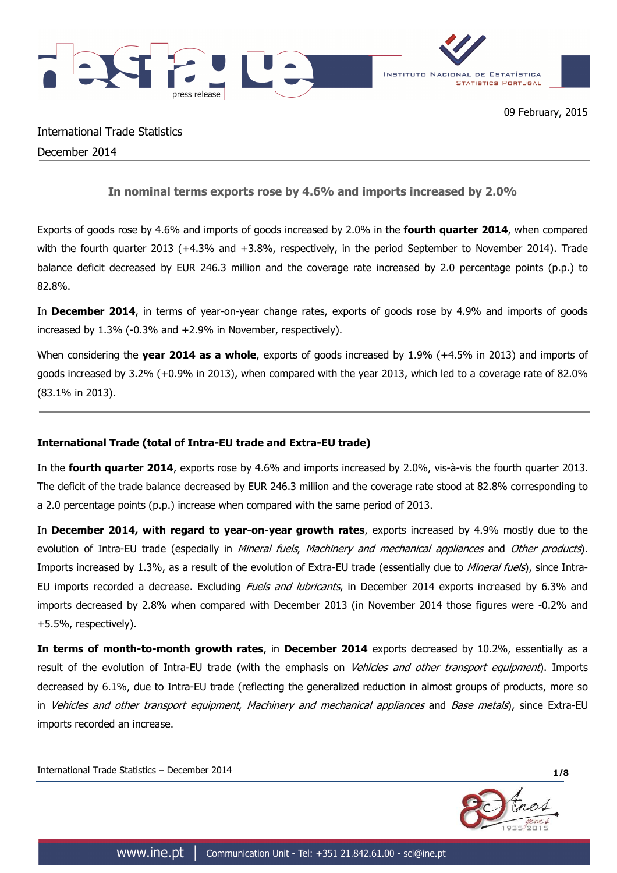

# International Trade Statistics December 2014

**In nominal terms exports rose by 4.6% and imports increased by 2.0%**

Exports of goods rose by 4.6% and imports of goods increased by 2.0% in the **fourth quarter 2014**, when compared with the fourth quarter 2013 (+4.3% and +3.8%, respectively, in the period September to November 2014). Trade balance deficit decreased by EUR 246.3 million and the coverage rate increased by 2.0 percentage points (p.p.) to 82.8%.

In **December 2014**, in terms of year-on-year change rates, exports of goods rose by 4.9% and imports of goods increased by 1.3% (-0.3% and +2.9% in November, respectively).

When considering the **year 2014 as a whole**, exports of goods increased by 1.9% (+4.5% in 2013) and imports of goods increased by 3.2% (+0.9% in 2013), when compared with the year 2013, which led to a coverage rate of 82.0% (83.1% in 2013).

## **International Trade (total of Intra-EU trade and Extra-EU trade)**

In the **fourth quarter 2014**, exports rose by 4.6% and imports increased by 2.0%, vis-à-vis the fourth quarter 2013. The deficit of the trade balance decreased by EUR 246.3 million and the coverage rate stood at 82.8% corresponding to a 2.0 percentage points (p.p.) increase when compared with the same period of 2013.

In **December 2014, with regard to year-on-year growth rates**, exports increased by 4.9% mostly due to the evolution of Intra-EU trade (especially in Mineral fuels, Machinery and mechanical appliances and Other products). Imports increased by 1.3%, as a result of the evolution of Extra-EU trade (essentially due to Mineral fuels), since Intra-EU imports recorded a decrease. Excluding *Fuels and Jubricants*, in December 2014 exports increased by 6.3% and imports decreased by 2.8% when compared with December 2013 (in November 2014 those figures were -0.2% and +5.5%, respectively).

**In terms of month-to-month growth rates**, in **December 2014** exports decreased by 10.2%, essentially as a result of the evolution of Intra-EU trade (with the emphasis on Vehicles and other transport equipment). Imports decreased by 6.1%, due to Intra-EU trade (reflecting the generalized reduction in almost groups of products, more so in Vehicles and other transport equipment, Machinery and mechanical appliances and Base metals), since Extra-EU imports recorded an increase.

International Trade Statistics – December 2014 **1/8**

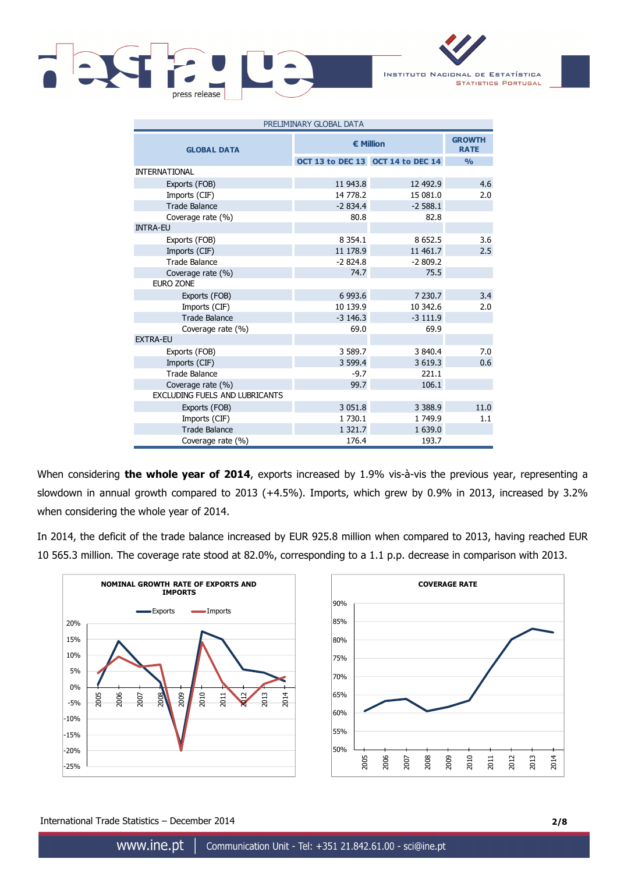

INSTITUTO NACIONAL DE ESTATÍSTICA **STATISTICS PORTUGAL** 

| PRELIMINARY GLOBAL DATA               |                  |                                   |               |  |  |  |
|---------------------------------------|------------------|-----------------------------------|---------------|--|--|--|
| <b>GLOBAL DATA</b>                    | <b>€ Million</b> | <b>GROWTH</b><br><b>RATE</b>      |               |  |  |  |
|                                       |                  | OCT 13 to DEC 13 OCT 14 to DEC 14 | $\frac{0}{0}$ |  |  |  |
| <b>INTERNATIONAL</b>                  |                  |                                   |               |  |  |  |
| Exports (FOB)                         | 11 943.8         | 12 492.9                          | 4.6           |  |  |  |
| Imports (CIF)                         | 14 778.2         | 15 081.0                          | 2.0           |  |  |  |
| <b>Trade Balance</b>                  | $-2834.4$        | $-2588.1$                         |               |  |  |  |
| Coverage rate (%)                     | 80.8             | 82.8                              |               |  |  |  |
| <b>INTRA-EU</b>                       |                  |                                   |               |  |  |  |
| Exports (FOB)                         | 8 3 5 4 . 1      | 8 6 5 2.5                         | 3.6           |  |  |  |
| Imports (CIF)                         | 11 178.9         | 11 461.7                          | 2.5           |  |  |  |
| <b>Trade Balance</b>                  | $-2824.8$        | $-2809.2$                         |               |  |  |  |
| Coverage rate (%)                     | 74.7             | 75.5                              |               |  |  |  |
| <b>EURO ZONE</b>                      |                  |                                   |               |  |  |  |
| Exports (FOB)                         | 6 9 9 3.6        | 7 230.7                           | 3.4           |  |  |  |
| Imports (CIF)                         | 10 139.9         | 10 342.6                          | 2.0           |  |  |  |
| <b>Trade Balance</b>                  | $-3$ 146.3       | $-3111.9$                         |               |  |  |  |
| Coverage rate (%)                     | 69.0             | 69.9                              |               |  |  |  |
| <b>EXTRA-EU</b>                       |                  |                                   |               |  |  |  |
| Exports (FOB)                         | 3 589.7          | 3 840.4                           | 7.0           |  |  |  |
| Imports (CIF)                         | 3 599.4          | 3 6 19.3                          | 0.6           |  |  |  |
| <b>Trade Balance</b>                  | $-9.7$           | 221.1                             |               |  |  |  |
| Coverage rate (%)                     | 99.7             | 106.1                             |               |  |  |  |
| <b>EXCLUDING FUELS AND LUBRICANTS</b> |                  |                                   |               |  |  |  |
| Exports (FOB)                         | 3 0 5 1 . 8      | 3 3 8 8 9                         | 11.0          |  |  |  |
| Imports (CIF)                         | 1 730.1          | 1 749.9                           | 1.1           |  |  |  |
| <b>Trade Balance</b>                  | 1 3 2 1 .7       | 1 639.0                           |               |  |  |  |
| Coverage rate (%)                     | 176.4            | 193.7                             |               |  |  |  |

When considering **the whole year of 2014**, exports increased by 1.9% vis-à-vis the previous year, representing a slowdown in annual growth compared to 2013 (+4.5%). Imports, which grew by 0.9% in 2013, increased by 3.2% when considering the whole year of 2014.

In 2014, the deficit of the trade balance increased by EUR 925.8 million when compared to 2013, having reached EUR 10 565.3 million. The coverage rate stood at 82.0%, corresponding to a 1.1 p.p. decrease in comparison with 2013.



International Trade Statistics – December 2014 **2/8**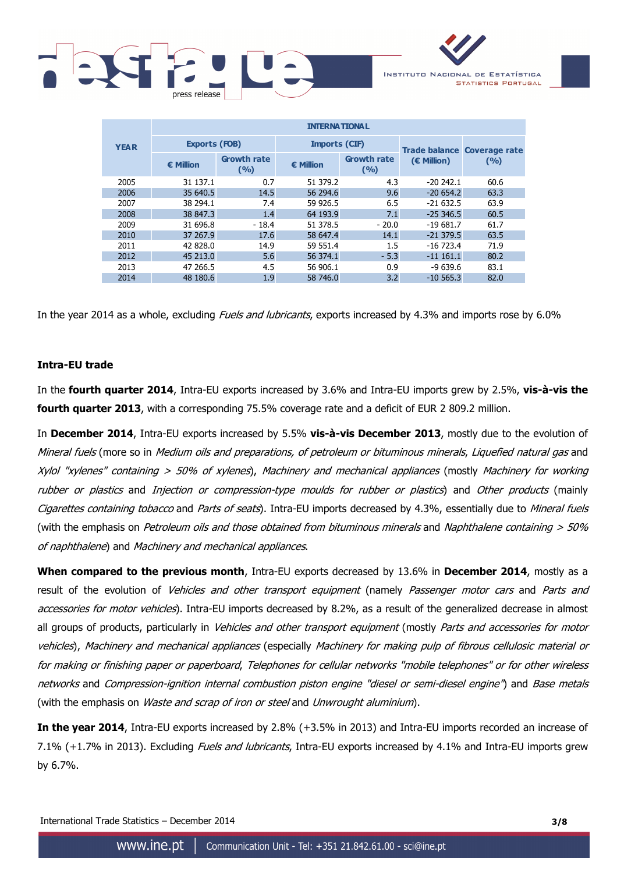

|             | <b>INTERNATIONAL</b> |                             |                      |                             |                                    |       |  |  |  |  |  |  |
|-------------|----------------------|-----------------------------|----------------------|-----------------------------|------------------------------------|-------|--|--|--|--|--|--|
| <b>YEAR</b> | <b>Exports (FOB)</b> |                             | <b>Imports (CIF)</b> |                             | <b>Trade balance Coverage rate</b> |       |  |  |  |  |  |  |
|             | <b>€ Million</b>     | <b>Growth rate</b><br>(9/0) | $\epsilon$ Million   | <b>Growth rate</b><br>(9/6) | (€ Million)                        | (9/6) |  |  |  |  |  |  |
| 2005        | 31 137.1             | 0.7                         | 51 379.2             | 4.3                         | $-20242.1$                         | 60.6  |  |  |  |  |  |  |
| 2006        | 35 640.5             | 14.5                        | 56 294.6             | 9.6                         | $-20654.2$                         | 63.3  |  |  |  |  |  |  |
| 2007        | 38 294.1             | 7.4                         | 59 926.5             | 6.5                         | $-21632.5$                         | 63.9  |  |  |  |  |  |  |
| 2008        | 38 847.3             | 1.4                         | 64 193.9             | 7.1                         | $-25346.5$                         | 60.5  |  |  |  |  |  |  |
| 2009        | 31 696.8             | $-18.4$                     | 51 378.5             | $-20.0$                     | $-19681.7$                         | 61.7  |  |  |  |  |  |  |
| 2010        | 37 267.9             | 17.6                        | 58 647.4             | 14.1                        | $-21379.5$                         | 63.5  |  |  |  |  |  |  |
| 2011        | 42 828.0             | 14.9                        | 59 551.4             | 1.5                         | $-16723.4$                         | 71.9  |  |  |  |  |  |  |
| 2012        | 45 213.0             | 5.6                         | 56 374.1             | $-5.3$                      | $-111161.1$                        | 80.2  |  |  |  |  |  |  |
| 2013        | 47 266.5             | 4.5                         | 56 906.1             | 0.9                         | $-9639.6$                          | 83.1  |  |  |  |  |  |  |
| 2014        | 48 180.6             | 1.9                         | 58 746.0             | 3.2                         | $-10,565.3$                        | 82.0  |  |  |  |  |  |  |

In the year 2014 as a whole, excluding *Fuels and lubricants*, exports increased by 4.3% and imports rose by 6.0%

## **Intra-EU trade**

In the **fourth quarter 2014**, Intra-EU exports increased by 3.6% and Intra-EU imports grew by 2.5%, **vis-à-vis the fourth quarter 2013**, with a corresponding 75.5% coverage rate and a deficit of EUR 2 809.2 million.

In **December 2014**, Intra-EU exports increased by 5.5% **vis-à-vis December 2013**, mostly due to the evolution of Mineral fuels (more so in Medium oils and preparations, of petroleum or bituminous minerals, Liquefied natural gas and Xylol "xylenes" containing > 50% of xylenes), Machinery and mechanical appliances (mostly Machinery for working rubber or plastics and Injection or compression-type moulds for rubber or plastics) and Other products (mainly Cigarettes containing tobacco and Parts of seats). Intra-EU imports decreased by 4.3%, essentially due to Mineral fuels (with the emphasis on Petroleum oils and those obtained from bituminous minerals and Naphthalene containing  $>$  50% of naphthalene) and Machinery and mechanical appliances.

**When compared to the previous month**, Intra-EU exports decreased by 13.6% in **December 2014**, mostly as a result of the evolution of *Vehicles and other transport equipment* (namely *Passenger motor cars* and *Parts and* accessories for motor vehicles). Intra-EU imports decreased by 8.2%, as a result of the generalized decrease in almost all groups of products, particularly in *Vehicles and other transport equipment* (mostly *Parts and accessories for motor* vehicles), Machinery and mechanical appliances (especially Machinery for making pulp of fibrous cellulosic material or for making or finishing paper or paperboard, Telephones for cellular networks "mobile telephones" or for other wireless networks and Compression-ignition internal combustion piston engine "diesel or semi-diesel engine") and Base metals (with the emphasis on *Waste and scrap of iron or steel* and *Unwrought aluminium*).

**In the year 2014**, Intra-EU exports increased by 2.8% (+3.5% in 2013) and Intra-EU imports recorded an increase of 7.1% (+1.7% in 2013). Excluding *Fuels and lubricants*, Intra-EU exports increased by 4.1% and Intra-EU imports grew by 6.7%.

International Trade Statistics – December 2014 **3/8**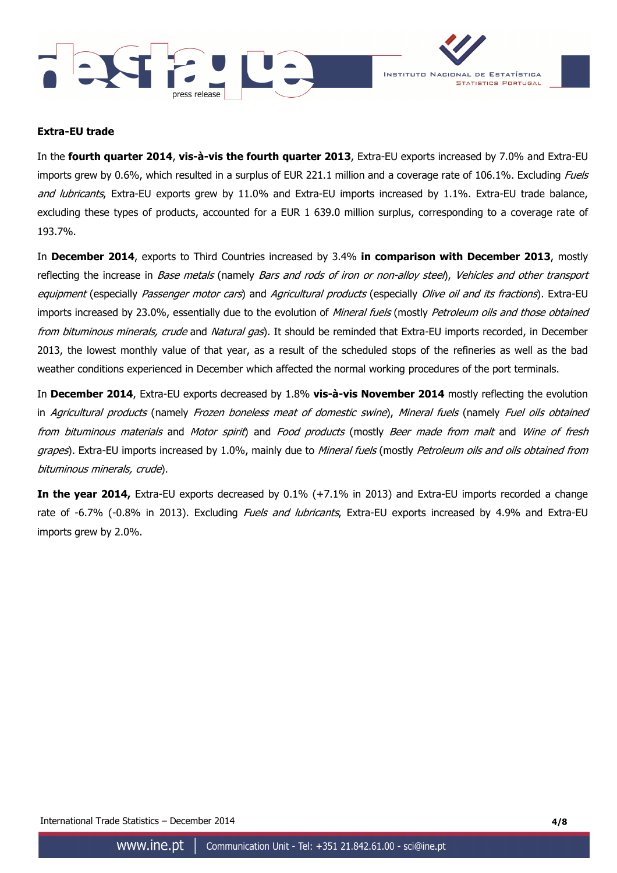



### **Extra-EU trade**

In the **fourth quarter 2014**, **vis-à-vis the fourth quarter 2013**, Extra-EU exports increased by 7.0% and Extra-EU imports grew by 0.6%, which resulted in a surplus of EUR 221.1 million and a coverage rate of 106.1%. Excluding Fuels and lubricants, Extra-EU exports grew by 11.0% and Extra-EU imports increased by 1.1%. Extra-EU trade balance, excluding these types of products, accounted for a EUR 1 639.0 million surplus, corresponding to a coverage rate of 193.7%.

In **December 2014**, exports to Third Countries increased by 3.4% **in comparison with December 2013**, mostly reflecting the increase in Base metals (namely Bars and rods of iron or non-alloy steel), Vehicles and other transport equipment (especially Passenger motor cars) and Agricultural products (especially Olive oil and its fractions). Extra-EU imports increased by 23.0%, essentially due to the evolution of Mineral fuels (mostly Petroleum oils and those obtained from bituminous minerals, crude and Natural gas). It should be reminded that Extra-EU imports recorded, in December 2013, the lowest monthly value of that year, as a result of the scheduled stops of the refineries as well as the bad weather conditions experienced in December which affected the normal working procedures of the port terminals.

In **December 2014**, Extra-EU exports decreased by 1.8% **vis-à-vis November 2014** mostly reflecting the evolution in Agricultural products (namely Frozen boneless meat of domestic swine), Mineral fuels (namely Fuel oils obtained from bituminous materials and Motor spirit) and Food products (mostly Beer made from malt and Wine of fresh grapes). Extra-EU imports increased by 1.0%, mainly due to Mineral fuels (mostly Petroleum oils and oils obtained from bituminous minerals, crude).

**In the year 2014,** Extra-EU exports decreased by 0.1% (+7.1% in 2013) and Extra-EU imports recorded a change rate of -6.7% (-0.8% in 2013). Excluding *Fuels and lubricants*, Extra-EU exports increased by 4.9% and Extra-EU imports grew by 2.0%.

International Trade Statistics – December 2014 **4/8**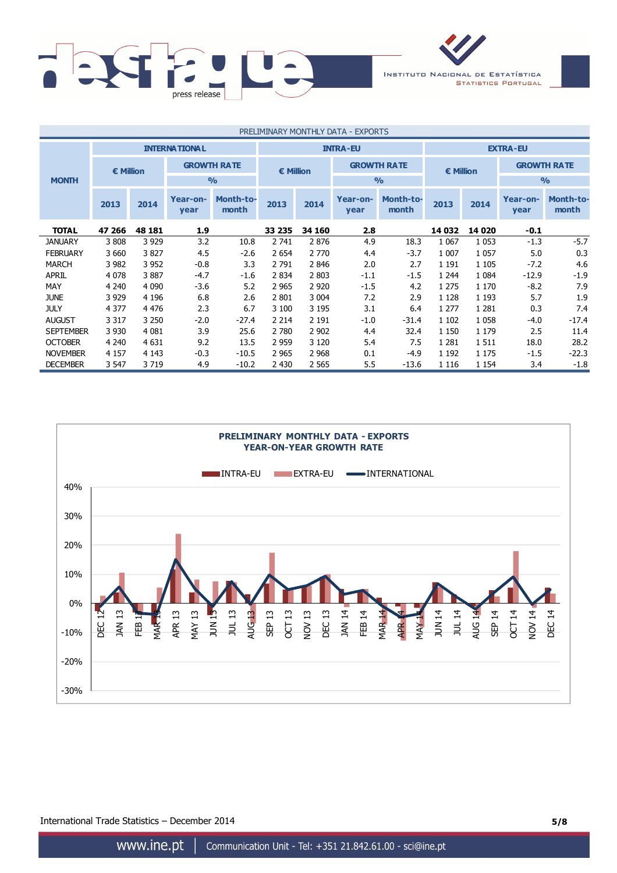

| PRELIMINARY MONTHLY DATA - EXPORTS |                                         |         |                    |                    |                  |         |                    |                    |           |         |                    |                           |
|------------------------------------|-----------------------------------------|---------|--------------------|--------------------|------------------|---------|--------------------|--------------------|-----------|---------|--------------------|---------------------------|
|                                    | <b>INTERNATIONAL</b><br><b>INTRA-EU</b> |         |                    |                    |                  |         |                    | <b>EXTRA-EU</b>    |           |         |                    |                           |
|                                    | <b>€ Million</b>                        |         | <b>GROWTH RATE</b> |                    | <b>€ Million</b> |         | <b>GROWTH RATE</b> |                    | € Million |         | <b>GROWTH RATE</b> |                           |
| <b>MONTH</b>                       |                                         |         |                    | $\frac{0}{0}$      |                  |         | $\frac{0}{0}$      |                    |           |         | $\frac{0}{0}$      |                           |
|                                    | 2013                                    | 2014    | Year-on-<br>year   | Month-to-<br>month | 2013             | 2014    | Year-on-<br>year   | Month-to-<br>month | 2013      | 2014    | Year-on-<br>year   | <b>Month-to-</b><br>month |
| <b>TOTAL</b>                       | 47 266                                  | 48 181  | 1.9                |                    | 33 235           | 34 160  | 2.8                |                    | 14 032    | 14 0 20 | $-0.1$             |                           |
| <b>JANUARY</b>                     | 3808                                    | 3 9 2 9 | 3.2                | 10.8               | 2 741            | 2876    | 4.9                | 18.3               | 1 0 6 7   | 1 0 5 3 | $-1.3$             | $-5.7$                    |
| <b>FEBRUARY</b>                    | 3660                                    | 3827    | 4.5                | $-2.6$             | 2 6 5 4          | 2 7 7 0 | 4.4                | $-3.7$             | 1 0 0 7   | 1 0 5 7 | 5.0                | 0.3                       |
| <b>MARCH</b>                       | 3 9 8 2                                 | 3 9 5 2 | $-0.8$             | 3.3                | 2 7 9 1          | 2846    | 2.0                | 2.7                | 1 1 9 1   | 1 1 0 5 | $-7.2$             | 4.6                       |
| APRIL                              | 4 0 7 8                                 | 3887    | $-4.7$             | $-1.6$             | 2 8 3 4          | 2 8 0 3 | $-1.1$             | $-1.5$             | 1 2 4 4   | 1 0 8 4 | $-12.9$            | $-1.9$                    |
| MAY                                | 4 2 4 0                                 | 4 0 9 0 | $-3.6$             | 5.2                | 2 9 6 5          | 2 9 2 0 | $-1.5$             | 4.2                | 1 2 7 5   | 1 1 7 0 | $-8.2$             | 7.9                       |
| <b>JUNE</b>                        | 3 9 2 9                                 | 4 1 9 6 | 6.8                | 2.6                | 2 8 0 1          | 3 0 0 4 | 7.2                | 2.9                | 1 1 2 8   | 1 1 9 3 | 5.7                | 1.9                       |
| <b>JULY</b>                        | 4 3 7 7                                 | 4 4 7 6 | 2.3                | 6.7                | 3 100            | 3 1 9 5 | 3.1                | 6.4                | 1 2 7 7   | 1 2 8 1 | 0.3                | 7.4                       |
| <b>AUGUST</b>                      | 3 3 1 7                                 | 3 2 5 0 | $-2.0$             | $-27.4$            | 2 2 1 4          | 2 1 9 1 | $-1.0$             | $-31.4$            | 1 1 0 2   | 1 0 5 8 | $-4.0$             | $-17.4$                   |
| <b>SEPTEMBER</b>                   | 3 9 3 0                                 | 4 0 8 1 | 3.9                | 25.6               | 2 7 8 0          | 2 9 0 2 | 4.4                | 32.4               | 1 1 5 0   | 1 1 7 9 | 2.5                | 11.4                      |
| <b>OCTOBER</b>                     | 4 2 4 0                                 | 4 6 31  | 9.2                | 13.5               | 2 9 5 9          | 3 1 2 0 | 5.4                | 7.5                | 1 2 8 1   | 1511    | 18.0               | 28.2                      |
| <b>NOVEMBER</b>                    | 4 1 5 7                                 | 4 1 4 3 | $-0.3$             | $-10.5$            | 2 9 6 5          | 2 9 6 8 | 0.1                | $-4.9$             | 1 1 9 2   | 1 1 7 5 | $-1.5$             | $-22.3$                   |
| <b>DECEMBER</b>                    | 3 5 4 7                                 | 3719    | 4.9                | $-10.2$            | 2 4 3 0          | 2 5 6 5 | 5.5                | $-13.6$            | 1 1 1 6   | 1 1 5 4 | 3.4                | $-1.8$                    |



International Trade Statistics – December 2014 **5/8**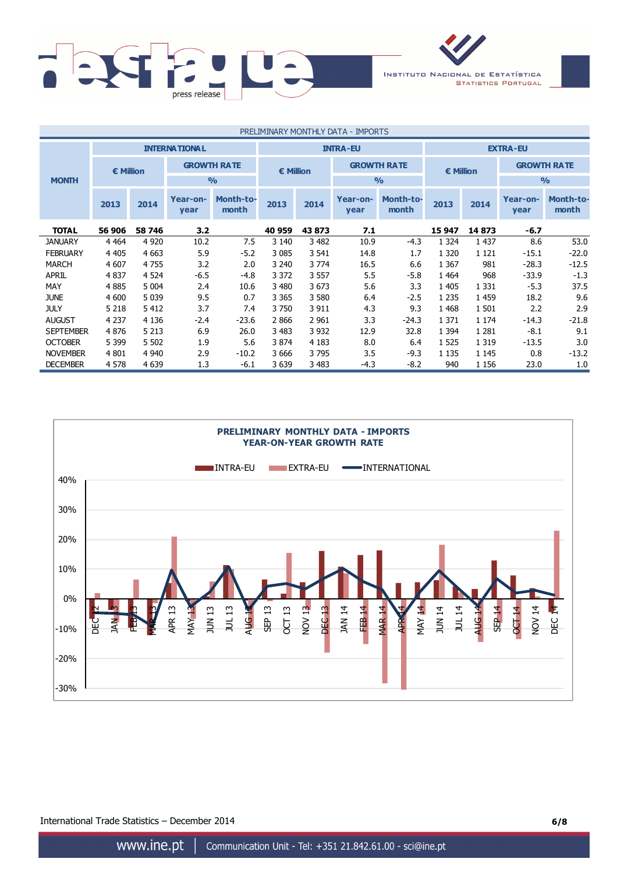

| PRELIMINARY MONTHLY DATA - IMPORTS |                      |         |                    |                           |                    |         |                    |                           |                 |         |                    |                           |
|------------------------------------|----------------------|---------|--------------------|---------------------------|--------------------|---------|--------------------|---------------------------|-----------------|---------|--------------------|---------------------------|
|                                    | <b>INTERNATIONAL</b> |         |                    |                           |                    |         | <b>INTRA-EU</b>    |                           | <b>EXTRA-EU</b> |         |                    |                           |
|                                    | € Million            |         | <b>GROWTH RATE</b> |                           | $\epsilon$ Million |         | <b>GROWTH RATE</b> |                           | € Million       |         | <b>GROWTH RATE</b> |                           |
| <b>MONTH</b>                       |                      |         |                    | $\frac{0}{0}$             |                    |         | $\frac{0}{0}$      |                           |                 |         | $\frac{0}{0}$      |                           |
|                                    | 2013                 | 2014    | Year-on-<br>year   | <b>Month-to-</b><br>month | 2013               | 2014    | Year-on-<br>year   | <b>Month-to-</b><br>month | 2013            | 2014    | Year-on-<br>year   | <b>Month-to-</b><br>month |
| <b>TOTAL</b>                       | 56 906               | 58 746  | 3.2                |                           | 40 959             | 43 873  | 7.1                |                           | 15 947          | 14873   | $-6.7$             |                           |
| <b>JANUARY</b>                     | 4 4 6 4              | 4 9 20  | 10.2               | 7.5                       | 3 1 4 0            | 3 4 8 2 | 10.9               | $-4.3$                    | 1 3 2 4         | 1 4 3 7 | 8.6                | 53.0                      |
| <b>FEBRUARY</b>                    | 4 4 0 5              | 4 6 63  | 5.9                | $-5.2$                    | 3 0 8 5            | 3 541   | 14.8               | 1.7                       | 1 3 2 0         | 1 1 2 1 | $-15.1$            | $-22.0$                   |
| <b>MARCH</b>                       | 4 607                | 4755    | 3.2                | 2.0                       | 3 2 4 0            | 3 7 7 4 | 16.5               | 6.6                       | 1 3 6 7         | 981     | $-28.3$            | $-12.5$                   |
| <b>APRIL</b>                       | 4837                 | 4 5 24  | $-6.5$             | $-4.8$                    | 3 3 7 2            | 3 5 5 7 | 5.5                | $-5.8$                    | 1 4 6 4         | 968     | $-33.9$            | $-1.3$                    |
| MAY                                | 4885                 | 5 0 0 4 | 2.4                | 10.6                      | 3 4 8 0            | 3673    | 5.6                | 3.3                       | 1 4 0 5         | 1 3 3 1 | $-5.3$             | 37.5                      |
| <b>JUNE</b>                        | 4 600                | 5 0 3 9 | 9.5                | 0.7                       | 3 3 6 5            | 3 5 8 0 | 6.4                | $-2.5$                    | 1 2 3 5         | 1 4 5 9 | 18.2               | 9.6                       |
| <b>JULY</b>                        | 5 2 1 8              | 5412    | 3.7                | 7.4                       | 3750               | 3 9 1 1 | 4.3                | 9.3                       | 1 4 6 8         | 1 501   | 2.2                | 2.9                       |
| <b>AUGUST</b>                      | 4 2 3 7              | 4 1 3 6 | $-2.4$             | $-23.6$                   | 2866               | 2 9 6 1 | 3.3                | $-24.3$                   | 1 3 7 1         | 1 1 7 4 | $-14.3$            | $-21.8$                   |
| <b>SEPTEMBER</b>                   | 4876                 | 5 2 1 3 | 6.9                | 26.0                      | 3 4 8 3            | 3 9 3 2 | 12.9               | 32.8                      | 1 3 9 4         | 1 2 8 1 | $-8.1$             | 9.1                       |
| <b>OCTOBER</b>                     | 5 3 9 9              | 5 5 0 2 | 1.9                | 5.6                       | 3 8 7 4            | 4 1 8 3 | 8.0                | 6.4                       | 1 5 2 5         | 1 3 1 9 | $-13.5$            | 3.0                       |
| <b>NOVEMBER</b>                    | 4 8 0 1              | 4 9 4 0 | 2.9                | $-10.2$                   | 3 6 6 6            | 3795    | 3.5                | $-9.3$                    | 1 1 3 5         | 1 1 4 5 | 0.8                | $-13.2$                   |
| <b>DECEMBER</b>                    | 4578                 | 4 6 3 9 | 1.3                | $-6.1$                    | 3 639              | 3 4 8 3 | -4.3               | $-8.2$                    | 940             | 1 1 5 6 | 23.0               | 1.0                       |



International Trade Statistics – December 2014 **6/8**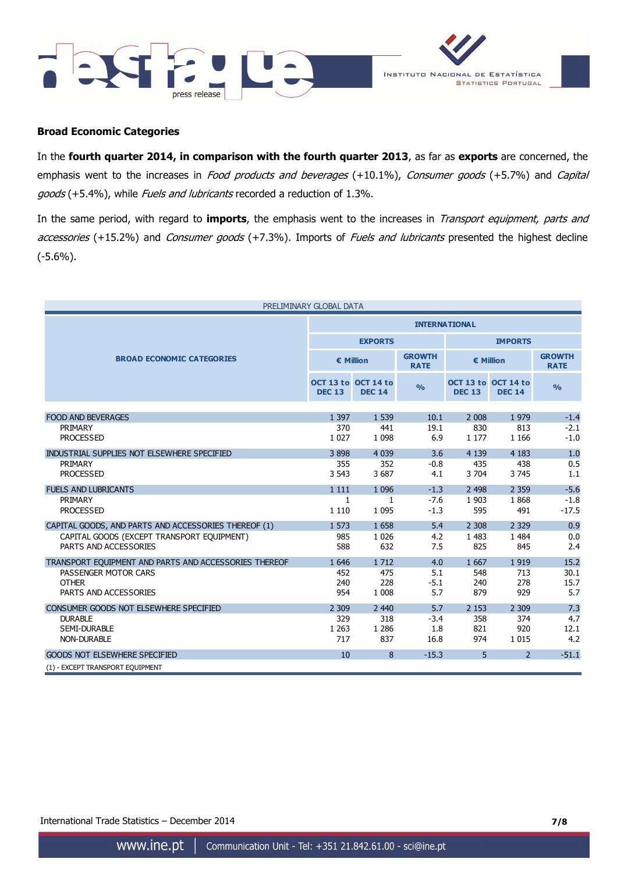



#### **Broad Economic Categories**

In the **fourth quarter 2014, in comparison with the fourth quarter 2013**, as far as **exports** are concerned, the emphasis went to the increases in Food products and beverages (+10.1%), Consumer goods (+5.7%) and Capital goods (+5.4%), while Fuels and lubricants recorded a reduction of 1.3%.

In the same period, with regard to **imports**, the emphasis went to the increases in Transport equipment, parts and accessories (+15.2%) and Consumer goods (+7.3%). Imports of Fuels and lubricants presented the highest decline (-5.6%).

| PRELIMINARY GLOBAL DATA                               |                      |                                      |                              |                                      |                |                              |  |  |
|-------------------------------------------------------|----------------------|--------------------------------------|------------------------------|--------------------------------------|----------------|------------------------------|--|--|
|                                                       | <b>INTERNATIONAL</b> |                                      |                              |                                      |                |                              |  |  |
|                                                       |                      | <b>EXPORTS</b>                       |                              | <b>IMPORTS</b>                       |                |                              |  |  |
| <b>BROAD ECONOMIC CATEGORIES</b>                      | € Million            |                                      | <b>GROWTH</b><br><b>RATE</b> | € Million                            |                | <b>GROWTH</b><br><b>RATE</b> |  |  |
|                                                       | <b>DEC 13</b>        | OCT 13 to OCT 14 to<br><b>DEC 14</b> | $\frac{0}{0}$                | OCT 13 to OCT 14 to<br><b>DEC 13</b> | <b>DEC 14</b>  | $\frac{0}{0}$                |  |  |
|                                                       |                      |                                      |                              |                                      |                |                              |  |  |
| <b>FOOD AND BEVERAGES</b>                             | 1 3 9 7              | 1 5 3 9                              | 10.1                         | 2 0 0 8                              | 1979           | $-1.4$                       |  |  |
| PRIMARY<br><b>PROCESSED</b>                           | 370<br>1 0 2 7       | 441<br>1 0 9 8                       | 19.1<br>6.9                  | 830<br>1 1 7 7                       | 813<br>1 1 6 6 | $-2.1$<br>$-1.0$             |  |  |
|                                                       |                      |                                      |                              |                                      |                |                              |  |  |
| INDUSTRIAL SUPPLIES NOT ELSEWHERE SPECIFIED           | 3898                 | 4 0 3 9                              | 3.6                          | 4 1 3 9                              | 4 1 8 3        | 1.0                          |  |  |
| PRIMARY                                               | 355                  | 352                                  | $-0.8$                       | 435                                  | 438            | 0.5                          |  |  |
| <b>PROCESSED</b>                                      | 3 5 4 3              | 3 687                                | 4.1                          | 3 704                                | 3 7 4 5        | 1.1                          |  |  |
| <b>FUELS AND LUBRICANTS</b>                           | 1 1 1 1              | 1 0 9 6                              | $-1.3$                       | 2 4 9 8                              | 2 3 5 9        | $-5.6$                       |  |  |
| PRIMARY                                               | $\mathbf{1}$         | $\mathbf{1}$                         | $-7.6$                       | 1 9 0 3                              | 1868           | $-1.8$                       |  |  |
| <b>PROCESSED</b>                                      | 1 1 1 0              | 1 0 9 5                              | $-1.3$                       | 595                                  | 491            | $-17.5$                      |  |  |
| CAPITAL GOODS, AND PARTS AND ACCESSORIES THEREOF (1)  | 1 573                | 1 6 5 8                              | 5.4                          | 2 3 0 8                              | 2 3 2 9        | 0.9                          |  |  |
| CAPITAL GOODS (EXCEPT TRANSPORT EQUIPMENT)            | 985                  | 1 0 2 6                              | 4.2                          | 1 4 8 3                              | 1 4 8 4        | 0.0                          |  |  |
| PARTS AND ACCESSORIES                                 | 588                  | 632                                  | 7.5                          | 825                                  | 845            | 2.4                          |  |  |
| TRANSPORT EQUIPMENT AND PARTS AND ACCESSORIES THEREOF | 1 6 4 6              | 1 7 1 2                              | 4.0                          | 1 6 6 7                              | 1919           | 15.2                         |  |  |
| PASSENGER MOTOR CARS                                  | 452                  | 475                                  | 5.1                          | 548                                  | 713            | 30.1                         |  |  |
| <b>OTHER</b>                                          | 240                  | 228                                  | $-5.1$                       | 240                                  | 278            | 15.7                         |  |  |
| PARTS AND ACCESSORIES                                 | 954                  | 1 0 0 8                              | 5.7                          | 879                                  | 929            | 5.7                          |  |  |
| CONSUMER GOODS NOT ELSEWHERE SPECIFIED                | 2 3 0 9              | 2 4 4 0                              | 5.7                          | 2 1 5 3                              | 2 3 0 9        | 7.3                          |  |  |
| <b>DURABLE</b>                                        | 329                  | 318                                  | $-3.4$                       | 358                                  | 374            | 4.7                          |  |  |
| <b>SEMI-DURABLE</b>                                   | 1 2 6 3              | 1 2 8 6                              | 1.8                          | 821                                  | 920            | 12.1                         |  |  |
| <b>NON-DURABLE</b>                                    | 717                  | 837                                  | 16.8                         | 974                                  | 1 0 1 5        | 4.2                          |  |  |
| <b>GOODS NOT ELSEWHERE SPECIFIED</b>                  | 10                   | 8                                    | $-15.3$                      | 5                                    | $\overline{2}$ | $-51.1$                      |  |  |
| (1) - EXCEPT TRANSPORT EQUIPMENT                      |                      |                                      |                              |                                      |                |                              |  |  |